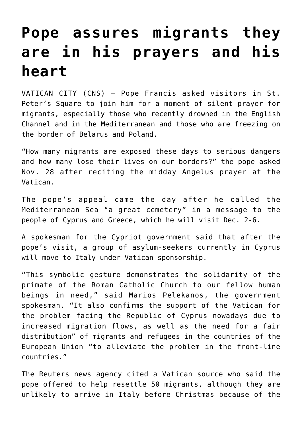## **[Pope assures migrants they](https://www.osvnews.com/2021/11/29/pope-assures-migrants-they-are-in-his-prayers-and-his-heart/) [are in his prayers and his](https://www.osvnews.com/2021/11/29/pope-assures-migrants-they-are-in-his-prayers-and-his-heart/) [heart](https://www.osvnews.com/2021/11/29/pope-assures-migrants-they-are-in-his-prayers-and-his-heart/)**

VATICAN CITY (CNS) — Pope Francis asked visitors in St. Peter's Square to join him for a moment of silent prayer for migrants, especially those who recently drowned in the English Channel and in the Mediterranean and those who are freezing on the border of Belarus and Poland.

"How many migrants are exposed these days to serious dangers and how many lose their lives on our borders?" the pope asked Nov. 28 after reciting the midday Angelus prayer at the Vatican.

The pope's appeal came the day after he called the Mediterranean Sea "a great cemetery" in a message to the people of Cyprus and Greece, which he will visit Dec. 2-6.

A spokesman for the Cypriot government said that after the pope's visit, a group of asylum-seekers currently in Cyprus will move to Italy under Vatican sponsorship.

"This symbolic gesture demonstrates the solidarity of the primate of the Roman Catholic Church to our fellow human beings in need," said Marios Pelekanos, the government spokesman. "It also confirms the support of the Vatican for the problem facing the Republic of Cyprus nowadays due to increased migration flows, as well as the need for a fair distribution" of migrants and refugees in the countries of the European Union "to alleviate the problem in the front-line countries."

The Reuters news agency cited a Vatican source who said the pope offered to help resettle 50 migrants, although they are unlikely to arrive in Italy before Christmas because of the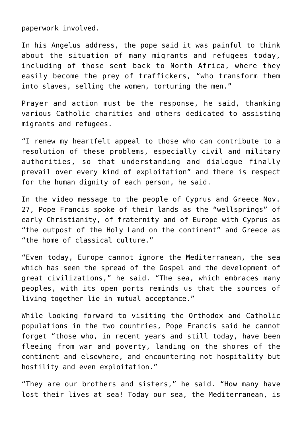paperwork involved.

In his Angelus address, the pope said it was painful to think about the situation of many migrants and refugees today, including of those sent back to North Africa, where they easily become the prey of traffickers, "who transform them into slaves, selling the women, torturing the men."

Prayer and action must be the response, he said, thanking various Catholic charities and others dedicated to assisting migrants and refugees.

"I renew my heartfelt appeal to those who can contribute to a resolution of these problems, especially civil and military authorities, so that understanding and dialogue finally prevail over every kind of exploitation" and there is respect for the human dignity of each person, he said.

In the video message to the people of Cyprus and Greece Nov. 27, Pope Francis spoke of their lands as the "wellsprings" of early Christianity, of fraternity and of Europe with Cyprus as "the outpost of the Holy Land on the continent" and Greece as "the home of classical culture."

"Even today, Europe cannot ignore the Mediterranean, the sea which has seen the spread of the Gospel and the development of great civilizations," he said. "The sea, which embraces many peoples, with its open ports reminds us that the sources of living together lie in mutual acceptance."

While looking forward to visiting the Orthodox and Catholic populations in the two countries, Pope Francis said he cannot forget "those who, in recent years and still today, have been fleeing from war and poverty, landing on the shores of the continent and elsewhere, and encountering not hospitality but hostility and even exploitation."

"They are our brothers and sisters," he said. "How many have lost their lives at sea! Today our sea, the Mediterranean, is